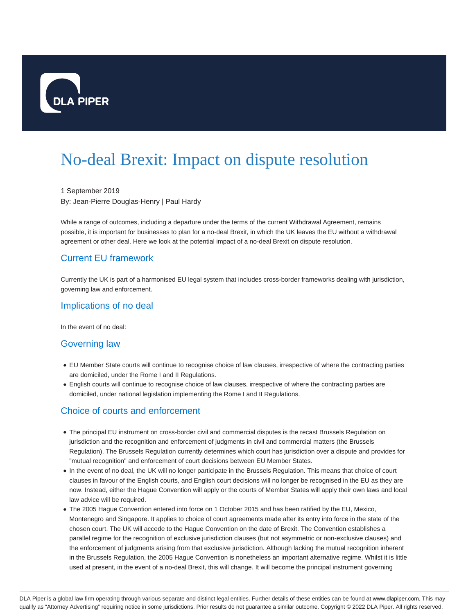

# No-deal Brexit: Impact on dispute resolution

1 September 2019 By: Jean-Pierre Douglas-Henry | Paul Hardy

While a range of outcomes, including a departure under the terms of the current Withdrawal Agreement, remains possible, it is important for businesses to plan for a no-deal Brexit, in which the UK leaves the EU without a withdrawal agreement or other deal. Here we look at the potential impact of a no-deal Brexit on dispute resolution.

# Current EU framework

Currently the UK is part of a harmonised EU legal system that includes cross-border frameworks dealing with jurisdiction, governing law and enforcement.

#### Implications of no deal

In the event of no deal:

#### Governing law

- EU Member State courts will continue to recognise choice of law clauses, irrespective of where the contracting parties are domiciled, under the Rome I and II Regulations.
- English courts will continue to recognise choice of law clauses, irrespective of where the contracting parties are domiciled, under national legislation implementing the Rome I and II Regulations.

## Choice of courts and enforcement

- The principal EU instrument on cross-border civil and commercial disputes is the recast Brussels Regulation on jurisdiction and the recognition and enforcement of judgments in civil and commercial matters (the Brussels Regulation). The Brussels Regulation currently determines which court has jurisdiction over a dispute and provides for "mutual recognition" and enforcement of court decisions between EU Member States.
- In the event of no deal, the UK will no longer participate in the Brussels Regulation. This means that choice of court clauses in favour of the English courts, and English court decisions will no longer be recognised in the EU as they are now. Instead, either the Hague Convention will apply or the courts of Member States will apply their own laws and local law advice will be required.
- The 2005 Hague Convention entered into force on 1 October 2015 and has been ratified by the EU, Mexico, Montenegro and Singapore. It applies to choice of court agreements made after its entry into force in the state of the chosen court. The UK will accede to the Hague Convention on the date of Brexit. The Convention establishes a parallel regime for the recognition of exclusive jurisdiction clauses (but not asymmetric or non-exclusive clauses) and the enforcement of judgments arising from that exclusive jurisdiction. Although lacking the mutual recognition inherent in the Brussels Regulation, the 2005 Hague Convention is nonetheless an important alternative regime. Whilst it is little used at present, in the event of a no-deal Brexit, this will change. It will become the principal instrument governing